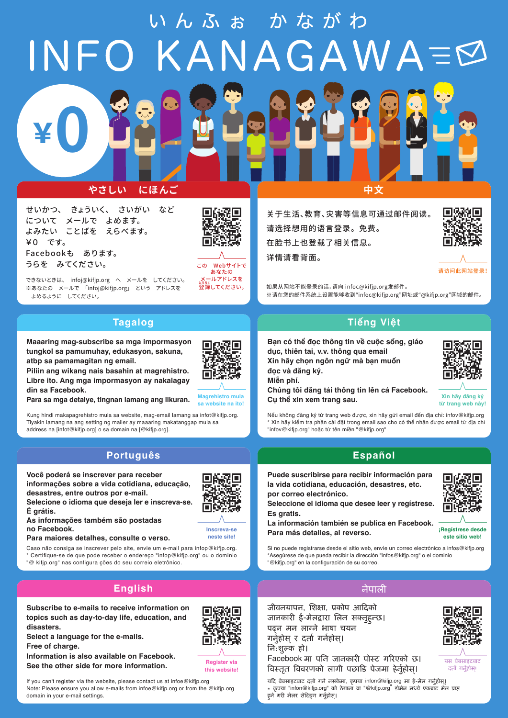INFO KANA  $GAWA \equiv \varnothing$ 

### **やさしい にほんご 中文**

せいかつ、 きょういく、 さいがい など について メールで よめます。 よみたい ことばを えらべます。 ¥0 です。 Facebookも あります。 うらを みてください。

¥**0**



この Webサイトで あなたの メールアドレスを *。。*<br>登録してください。

できないときは、 infoj@kifjp.org へ メールを してください。 ※あなたの メールで 「infoj@kifjp.org」 という アドレスを よめるように してください。

#### **Tagalog**

**Maaaring mag-subscribe sa mga impormasyon tungkol sa pamumuhay, edukasyon, sakuna, atbp sa pamamagitan ng email.** 

**Piliin ang wikang nais basahin at magrehistro. Libre ito. Ang mga impormasyon ay nakalagay din sa Facebook.**

**Para sa mga detalye, tingnan lamang ang likuran.**

Kung hindi makapagrehistro mula sa website, mag-email lamang sa infot@kifjp.org. Tiyakin lamang na ang setting ng mailer ay maaaring makatanggap mula sa address na [infot@kifjp.org] o sa domain na [@kifjp.org].

#### **Português Español**

**Você poderá se inscrever para receber informações sobre a vida cotidiana, educação, desastres, entre outros por e-mail.**

**Selecione o idioma que deseja ler e inscreva-se. É grátis.**

**As informações também são postadas no Facebook.**

**Para maiores detalhes, consulte o verso.**

Caso não consiga se inscrever pelo site, envie um e-mail para infop@kifjp.org. \* Certifique-se de que pode receber o endereço "infop@kifjp.org" ou o domínio "@ kifjp.org" nas configura ções do seu correio eletrônico.

### **English** नेपाली

**Subscribe to e-mails to receive information on topics such as day-to-day life, education, and disasters.**

**Select a language for the e-mails.**

**Free of charge.**

domain in your e-mail settings.

**Information is also available on Facebook. See the other side for more information.**

If you can't register via the website, please contact us at infoe@kifjp.org Note: Please ensure you allow e-mails from infoe@kifjp.org or from the @kifjp.org **this website!**



**Magrehistro mula sa website na ito!** 

> **Inscreva-se neste site!**

**Register via**

关于生活、教育、灾害等信息可通过邮件阅读。 请选择想用的语言登录。 免费。 在脸书上也登载了相关信息。 详情请看背面。



请访问此网站登录!

如果从网站不能登录的话,请向 infoc@kifjp.org发邮件。 ※请在您的邮件系统上设置能够收到"infoc@kifjp.org"网址或"@kifjp.org"网域的邮件。

#### **Tiếng Việt**

**Bạn có thể đọc thông tin về cuộc sống, giáo dục, thiên tai, v.v. thông qua email Xin hãy chọn ngôn ngữ mà bạn muốn đọc và đăng ký.**



**Chúng tôi đăng tải thông tin lên cả Facebook. Cụ thể xin xem trang sau.**



**Xin hãy đăng ký từ trang web này!**

Nếu không đăng ký từ trang web được, xin hãy gửi email đến địa chỉ: infov@kifjp.org \* Xin hãy kiểm tra phần cài đặt trong email sao cho có thể nhận được email từ địa chỉ "infov@kifjp.org" hoặc từ tên miền "@kifjp.org"

**Puede suscribirse para recibir información para la vida cotidiana, educación, desastres, etc. por correo electrónico.**

**Seleccione el idioma que desee leer y regístrese. Es gratis.**

**La información también se publica en Facebook. Para más detalles, al reverso.**



**¡Regístrese desde este sitio web!**

Si no puede registrarse desde el sitio web, envíe un correo electrónico a infos@kifjp.org \*Asegúrese de que pueda recibir la dirección "infos@kifjp.org" o el dominio "@kifjp.org" en la configuración de su correo.

जीवनयापन, िशक्षा, �कोप आ�दको जानकारी ई-मेलद्वारा लिन सक्नुहुन्छ। पढ्न मन लाग्ने भाषा चयन गर्नुहोस् र दर्ता गर्नहोस्। िन:शुल्क हो।

Facebook मा पनि जानकारी पोस्ट गरिएको छ। �वस्तृत �ववरणको लागी पछा�ड पेजमा हेनुर्होस।्



यस वेबसाइटबाट दर्ता गर्नुहोस्!

यदि वेबसाइटबाट दर्ता गर्न नसकेमा, कृपया infon@kifjp.org मा ई-मेल गर्नुहोस। \* कृपया "infon@kifjp.org" को ठेगाना वा "@kifjp.org" डोमेन मध्ये एकबाट मेल प्राप्त हुने गरी मेलर सेटिङ्ग गर्नुहोस्।